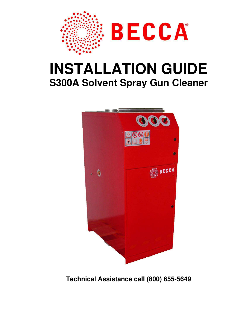

# **INSTALLATION GUIDE S300A Solvent Spray Gun Cleaner**



**Technical Assistance call (800) 655-5649**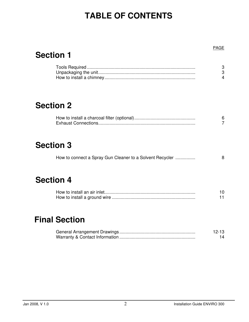## **TABLE OF CONTENTS**

### **Section 1**

### **Section 2**

## **Section 3**

| How to connect a Spray Gun Cleaner to a Solvent Recycler |  |
|----------------------------------------------------------|--|
|----------------------------------------------------------|--|

### **Section 4**

## **Final Section**

| $12 - 13$ |
|-----------|
|           |

PAGE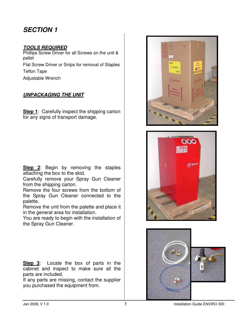### **SECTION 1**

#### **TOOLS REQUIRED**

Phillips Screw Driver for all Screws on the unit & pallet Flat Screw Driver or Snips for removal of Staples Teflon Tape Adjustable Wrench

#### **UNPACKAGING THE UNIT**

**Step 1:** Carefully inspect the shipping carton for any signs of transport damage.

**Step 2**: Begin by removing the staples attaching the box to the skid.

Carefully remove your Spray Gun Cleaner from the shipping carton.

Remove the four screws from the bottom of the Spray Gun Cleaner connected to the palette.

Remove the unit from the palette and place it in the general area for installation.

You are ready to begin with the installation of the Spray Gun Cleaner.

**Step 3**: Locate the box of parts in the cabinet and inspect to make sure all the parts are included.

If any parts are missing, contact the supplier you purchased the equipment from.





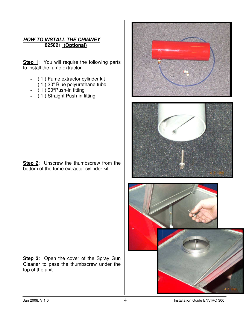#### **HOW TO INSTALL THE CHIMNEY 825021 (Optional)**

**Step 1**: You will require the following parts to install the fume extractor.

- ( 1 ) Fume extractor cylinder kit
- ( 1 ) 30" Blue polyurethane tube
- $(1)$  90°Push-in fitting
- ( 1 ) Straight Push-in fitting

**Step 2:** Unscrew the thumbscrew from the bottom of the fume extractor cylinder kit.

**Step 3**: Open the cover of the Spray Gun Cleaner to pass the thumbscrew under the top of the unit.



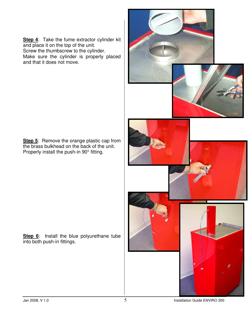**Step 4**: Take the fume extractor cylinder kit and place it on the top of the unit.

Screw the thumbscrew to the cylinder.

Make sure the cylinder is properly placed and that it does not move.

**Step 5**: Remove the orange plastic cap from the brass bulkhead on the back of the unit. Properly install the push-in 90° fitting.

**Step 6**: Install the blue polyurethane tube into both push-in fittings.

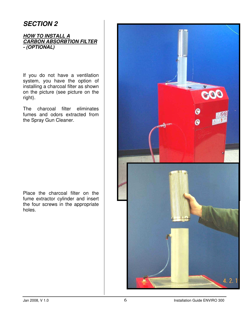### **SECTION 2**

#### **HOW TO INSTALL A CARBON ABSORBTION FILTER - (OPTIONAL)**

If you do not have a ventilation system, you have the option of installing a charcoal filter as shown on the picture (see picture on the right).

The charcoal filter eliminates fumes and odors extracted from the Spray Gun Cleaner.

Place the charcoal filter on the fume extractor cylinder and insert the four screws in the appropriate holes.

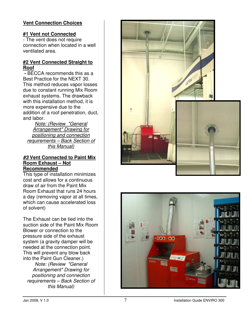#### **Vent Connection Choices**

#### **#1 Vent not Connected**

- The vent does not require connection when located in a well ventilated area.

#### **#2 Vent Connected Straight to Roof**

**-** BECCA recommends this as a Best Practice for the NEXT 30. This method reduces vapor losses due to constant running Mix Room exhaust systems. The drawback with this installation method, it is more expensive due to the addition of a roof penetration, duct, and labor.

Note: (Review "General Arrangement" Drawing for positioning and connection requirements – Back Section of this Manual)

#### **#3 Vent Connected to Paint Mix Room Exhaust – Not Recommended**

This type of installation minimizes cost and allows for a continuous draw of air from the Paint Mix Room Exhaust that runs 24 hours a day (removing vapor at all times, which can cause accelerated loss of solvent)

The Exhaust can be tied into the suction side of the Paint Mix Room Blower or connection to the pressure side of the exhaust system (a gravity damper will be needed at the connection point. This will prevent any blow back into the Paint Gun Cleaner.)

Note: (Review "General Arrangement" Drawing for positioning and connection requirements – Back Section of this Manual)



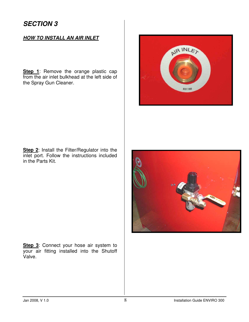#### **HOW TO INSTALL AN AIR INLET**

**Step 1**: Remove the orange plastic cap from the air inlet bulkhead at the left side of the Spray Gun Cleaner.



**Step 2:** Install the Filter/Regulator into the inlet port. Follow the instructions included in the Parts Kit.



**Step 3:** Connect your hose air system to your air fitting installed into the Shutoff Valve.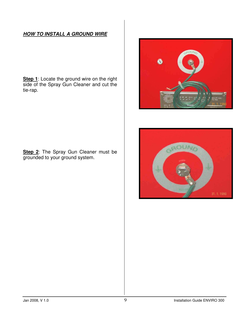#### **HOW TO INSTALL A GROUND WIRE**

**Step 1**: Locate the ground wire on the right side of the Spray Gun Cleaner and cut the tie-rap.



**Step 2**: The Spray Gun Cleaner must be grounded to your ground system.

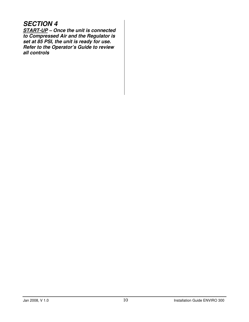### **SECTION 4**

**START-UP – Once the unit is connected to Compressed Air and the Regulator is set at 85 PSI, the unit is ready for use. Refer to the Operator's Guide to review all controls**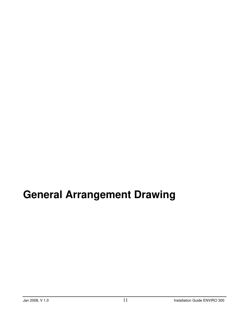# **General Arrangement Drawing**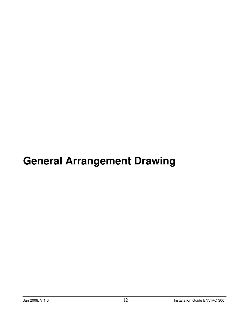# **General Arrangement Drawing**